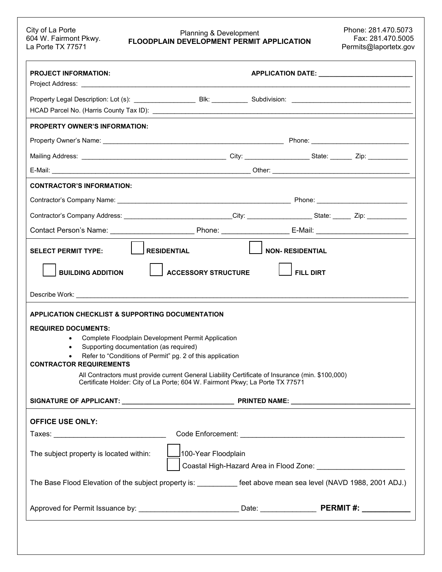## City of La Porte Phone: 281.470.5073<br>
Fax: 281.470.5073 Planning & Development<br>
Le Derta TV 77574 City of La Porte Planning & Development Phone: 281.470.5073<br>604 W. Fairmont Pkwy. **FLOODPLAIN DEVELOPMENT PERMIT APPLICATION** Fax: 281.470.5005<br>Permits@laportetx.gov

| <b>PROJECT INFORMATION:</b>                                                                                                                                                                                                                         |                                 | APPLICATION DATE: ___________________________ |  |  |
|-----------------------------------------------------------------------------------------------------------------------------------------------------------------------------------------------------------------------------------------------------|---------------------------------|-----------------------------------------------|--|--|
|                                                                                                                                                                                                                                                     |                                 |                                               |  |  |
|                                                                                                                                                                                                                                                     |                                 |                                               |  |  |
| <b>PROPERTY OWNER'S INFORMATION:</b>                                                                                                                                                                                                                |                                 |                                               |  |  |
|                                                                                                                                                                                                                                                     |                                 |                                               |  |  |
|                                                                                                                                                                                                                                                     |                                 |                                               |  |  |
|                                                                                                                                                                                                                                                     |                                 |                                               |  |  |
| <b>CONTRACTOR'S INFORMATION:</b>                                                                                                                                                                                                                    |                                 |                                               |  |  |
|                                                                                                                                                                                                                                                     |                                 |                                               |  |  |
| Contractor's Company Address: _______________________________City: ______________________State: _______ Zip: __________________________                                                                                                             |                                 |                                               |  |  |
|                                                                                                                                                                                                                                                     |                                 |                                               |  |  |
| RESIDENTIAL<br><b>SELECT PERMIT TYPE:</b>                                                                                                                                                                                                           |                                 | <b>NON- RESIDENTIAL</b>                       |  |  |
| <b>BUILDING ADDITION</b>                                                                                                                                                                                                                            | ACCESSORY STRUCTURE             | <b>FILL DIRT</b>                              |  |  |
|                                                                                                                                                                                                                                                     |                                 |                                               |  |  |
| APPLICATION CHECKLIST & SUPPORTING DOCUMENTATION                                                                                                                                                                                                    |                                 |                                               |  |  |
| <b>REQUIRED DOCUMENTS:</b><br>Complete Floodplain Development Permit Application<br>$\bullet$<br>Supporting documentation (as required)<br>$\bullet$<br>Refer to "Conditions of Permit" pg. 2 of this application<br><b>CONTRACTOR REQUIREMENTS</b> |                                 |                                               |  |  |
| All Contractors must provide current General Liability Certificate of Insurance (min. \$100,000)<br>Certificate Holder: City of La Porte; 604 W. Fairmont Pkwy; La Porte TX 77571                                                                   |                                 |                                               |  |  |
|                                                                                                                                                                                                                                                     |                                 |                                               |  |  |
| <b>OFFICE USE ONLY:</b>                                                                                                                                                                                                                             |                                 |                                               |  |  |
|                                                                                                                                                                                                                                                     |                                 |                                               |  |  |
| The subject property is located within:                                                                                                                                                                                                             | __ <b>J</b> 100-Year Floodplain |                                               |  |  |
| The Base Flood Elevation of the subject property is: _________ feet above mean sea level (NAVD 1988, 2001 ADJ.)                                                                                                                                     |                                 |                                               |  |  |
| Approved for Permit Issuance by: _____________________________Date: ________________________PERMIT #: _____________                                                                                                                                 |                                 |                                               |  |  |
|                                                                                                                                                                                                                                                     |                                 |                                               |  |  |